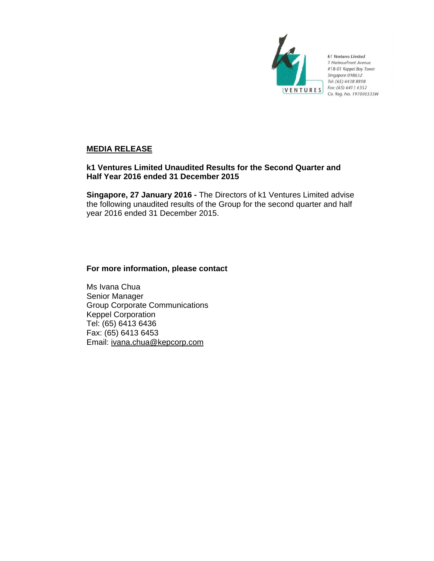

k1 Ventures Limited 1 HarbourFront Avenue #18-01 Keppel Bay Tower Singapore 098632 Tel: (65) 6438 8898 Fax: (65) 6413 6352 Co. Reg. No. 197000535W

# **MEDIA RELEASE**

# **k1 Ventures Limited Unaudited Results for the Second Quarter and Half Year 2016 ended 31 December 2015**

**Singapore, 27 January 2016 -** The Directors of k1 Ventures Limited advise the following unaudited results of the Group for the second quarter and half year 2016 ended 31 December 2015.

# **For more information, please contact**

Ms Ivana Chua Senior Manager Group Corporate Communications Keppel Corporation Tel: (65) 6413 6436 Fax: (65) 6413 6453 Email: ivana.chua@kepcorp.com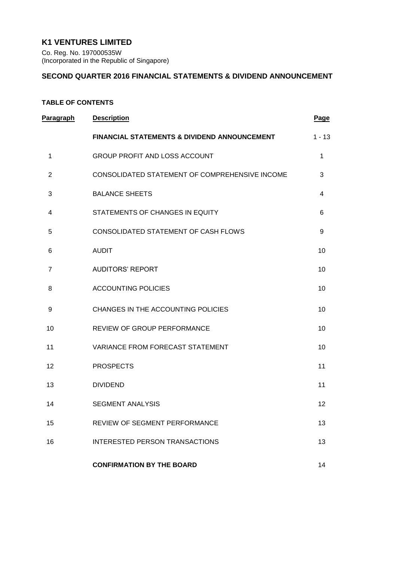# **K1 VENTURES LIMITED**

Co. Reg. No. 197000535W (Incorporated in the Republic of Singapore)

## **SECOND QUARTER 2016 FINANCIAL STATEMENTS & DIVIDEND ANNOUNCEMENT**

# **TABLE OF CONTENTS**

| Paragraph      | <b>Description</b>                             | Page             |
|----------------|------------------------------------------------|------------------|
|                | FINANCIAL STATEMENTS & DIVIDEND ANNOUNCEMENT   | $1 - 13$         |
| 1              | GROUP PROFIT AND LOSS ACCOUNT                  | 1                |
| 2              | CONSOLIDATED STATEMENT OF COMPREHENSIVE INCOME | 3                |
| 3              | <b>BALANCE SHEETS</b>                          | 4                |
| 4              | STATEMENTS OF CHANGES IN EQUITY                | 6                |
| 5              | CONSOLIDATED STATEMENT OF CASH FLOWS           | $\boldsymbol{9}$ |
| 6              | <b>AUDIT</b>                                   | 10               |
| $\overline{7}$ | <b>AUDITORS' REPORT</b>                        | 10               |
| 8              | <b>ACCOUNTING POLICIES</b>                     | 10               |
| 9              | CHANGES IN THE ACCOUNTING POLICIES             | 10               |
| 10             | REVIEW OF GROUP PERFORMANCE                    | 10               |
| 11             | VARIANCE FROM FORECAST STATEMENT               | 10               |
| 12             | <b>PROSPECTS</b>                               | 11               |
| 13             | <b>DIVIDEND</b>                                | 11               |
| 14             | <b>SEGMENT ANALYSIS</b>                        | 12               |
| 15             | <b>REVIEW OF SEGMENT PERFORMANCE</b>           | 13               |
| 16             | INTERESTED PERSON TRANSACTIONS                 | 13               |
|                | <b>CONFIRMATION BY THE BOARD</b>               | 14               |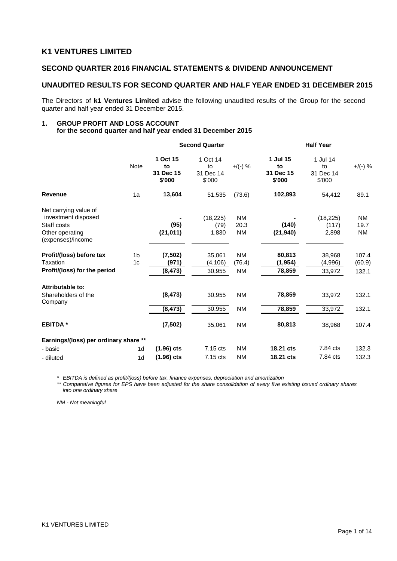# **K1 VENTURES LIMITED**

## **SECOND QUARTER 2016 FINANCIAL STATEMENTS & DIVIDEND ANNOUNCEMENT**

# **UNAUDITED RESULTS FOR SECOND QUARTER AND HALF YEAR ENDED 31 DECEMBER 2015**

The Directors of **k1 Ventures Limited** advise the following unaudited results of the Group for the second quarter and half year ended 31 December 2015.

#### **1. GROUP PROFIT AND LOSS ACCOUNT for the second quarter and half year ended 31 December 2015**

|                                                                                                     |                                  | <b>Second Quarter</b>                 |                                       | <b>Half Year</b>                 |                                       |                                       |                                |
|-----------------------------------------------------------------------------------------------------|----------------------------------|---------------------------------------|---------------------------------------|----------------------------------|---------------------------------------|---------------------------------------|--------------------------------|
|                                                                                                     | Note                             | 1 Oct 15<br>to<br>31 Dec 15<br>\$'000 | 1 Oct 14<br>to<br>31 Dec 14<br>\$'000 | $+$ /(-) %                       | 1 Jul 15<br>to<br>31 Dec 15<br>\$'000 | 1 Jul 14<br>to<br>31 Dec 14<br>\$'000 | $+$ /(-) %                     |
| <b>Revenue</b>                                                                                      | 1a                               | 13,604                                | 51,535                                | (73.6)                           | 102,893                               | 54,412                                | 89.1                           |
| Net carrying value of<br>investment disposed<br>Staff costs<br>Other operating<br>(expenses)/income |                                  | (95)<br>(21, 011)                     | (18, 225)<br>(79)<br>1,830            | <b>NM</b><br>20.3<br><b>NM</b>   | (140)<br>(21, 940)                    | (18, 225)<br>(117)<br>2,898           | <b>NM</b><br>19.7<br><b>NM</b> |
| Profit/(loss) before tax<br>Taxation<br>Profit/(loss) for the period                                | 1 <sub>b</sub><br>1 <sub>c</sub> | (7,502)<br>(971)<br>(8, 473)          | 35,061<br>(4, 106)<br>30,955          | <b>NM</b><br>(76.4)<br><b>NM</b> | 80,813<br>(1, 954)<br>78,859          | 38,968<br>(4,996)<br>33,972           | 107.4<br>(60.9)<br>132.1       |
| Attributable to:<br>Shareholders of the<br>Company                                                  |                                  | (8, 473)<br>(8, 473)                  | 30,955<br>30,955                      | <b>NM</b><br><b>NM</b>           | 78,859<br>78,859                      | 33,972<br>33,972                      | 132.1<br>132.1                 |
| <b>EBITDA*</b>                                                                                      |                                  | (7, 502)                              | 35,061                                | <b>NM</b>                        | 80,813                                | 38,968                                | 107.4                          |
| Earnings/(loss) per ordinary share **<br>- basic<br>- diluted                                       | 1d<br>1d                         | $(1.96)$ cts<br>$(1.96)$ cts          | 7.15 cts<br>7.15 cts                  | <b>NM</b><br><b>NM</b>           | 18.21 cts<br>18.21 cts                | 7.84 cts<br>7.84 cts                  | 132.3<br>132.3                 |

*\* EBITDA is defined as profit/(loss) before tax, finance expenses, depreciation and amortization*

*\*\* Comparative figures for EPS have been adjusted for the share consolidation of every five existing issued ordinary shares into one ordinary share*

*NM - Not meaningful*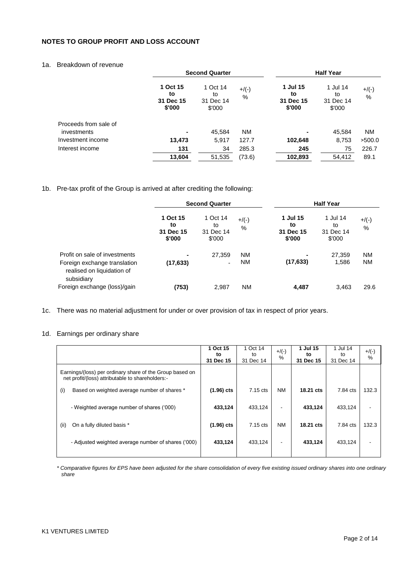## **NOTES TO GROUP PROFIT AND LOSS ACCOUNT**

## 1a. Breakdown of revenue

|                       | <b>Second Quarter</b>                 |                                       | <b>Half Year</b> |                                       |                                       |                  |
|-----------------------|---------------------------------------|---------------------------------------|------------------|---------------------------------------|---------------------------------------|------------------|
|                       | 1 Oct 15<br>to<br>31 Dec 15<br>\$'000 | 1 Oct 14<br>to<br>31 Dec 14<br>\$'000 | $+$ /(-)<br>%    | 1 Jul 15<br>to<br>31 Dec 15<br>\$'000 | 1 Jul 14<br>to<br>31 Dec 14<br>\$'000 | $+$ /(-)<br>$\%$ |
| Proceeds from sale of |                                       |                                       |                  |                                       |                                       |                  |
| investments           | $\blacksquare$                        | 45,584                                | <b>NM</b>        |                                       | 45,584                                | <b>NM</b>        |
| Investment income     | 13,473                                | 5,917                                 | 127.7            | 102,648                               | 8,753                                 | >500.0           |
| Interest income       | 131                                   | 34                                    | 285.3            | 245                                   | 75                                    | 226.7            |
|                       | 13,604                                | 51,535                                | (73.6)           | 102,893                               | 54,412                                | 89.1             |

## 1b. Pre-tax profit of the Group is arrived at after crediting the following:

|                                                                                                           | <b>Second Quarter</b>                 |                                       |                        |                                       | <b>Half Year</b>                      |                 |
|-----------------------------------------------------------------------------------------------------------|---------------------------------------|---------------------------------------|------------------------|---------------------------------------|---------------------------------------|-----------------|
|                                                                                                           | 1 Oct 15<br>to<br>31 Dec 15<br>\$'000 | 1 Oct 14<br>to<br>31 Dec 14<br>\$'000 | $+$ /(-)<br>%          | 1 Jul 15<br>to<br>31 Dec 15<br>\$'000 | 1 Jul 14<br>to<br>31 Dec 14<br>\$'000 | $+$ /(-)<br>%   |
| Profit on sale of investments<br>Foreign exchange translation<br>realised on liquidation of<br>subsidiary | $\blacksquare$<br>(17, 633)           | 27,359<br>$\overline{\phantom{0}}$    | <b>NM</b><br><b>NM</b> | (17, 633)                             | 27.359<br>1,586                       | NM<br><b>NM</b> |
| Foreign exchange (loss)/gain                                                                              | (753)                                 | 2,987                                 | <b>NM</b>              | 4,487                                 | 3,463                                 | 29.6            |

- 1c. There was no material adjustment for under or over provision of tax in respect of prior years.
- 1d. Earnings per ordinary share

|                                                                                                              | 1 Oct 15        | 1 Oct 14        | $+$ /(-)  | 1 Jul 15        | 1 Jul 14        | $+$ /(-) |
|--------------------------------------------------------------------------------------------------------------|-----------------|-----------------|-----------|-----------------|-----------------|----------|
|                                                                                                              | to<br>31 Dec 15 | to<br>31 Dec 14 | $\%$      | to<br>31 Dec 15 | to<br>31 Dec 14 | $\%$     |
| Earnings/(loss) per ordinary share of the Group based on<br>net profit/(loss) attributable to shareholders:- |                 |                 |           |                 |                 |          |
| Based on weighted average number of shares *<br>(i)                                                          | $(1.96)$ cts    | 7.15 cts        | <b>NM</b> | 18.21 cts       | 7.84 cts        | 132.3    |
|                                                                                                              |                 |                 |           |                 |                 |          |
| - Weighted average number of shares ('000)                                                                   | 433,124         | 433,124         |           | 433,124         | 433,124         |          |
|                                                                                                              |                 |                 |           |                 |                 |          |
| (ii)<br>On a fully diluted basis *                                                                           | $(1.96)$ cts    | 7.15 cts        | <b>NM</b> | 18.21 cts       | 7.84 cts        | 132.3    |
| - Adjusted weighted average number of shares ('000)                                                          | 433,124         | 433,124         | -         | 433,124         | 433,124         |          |
|                                                                                                              |                 |                 |           |                 |                 |          |

*\* Comparative figures for EPS have been adjusted for the share consolidation of every five existing issued ordinary shares into one ordinary share*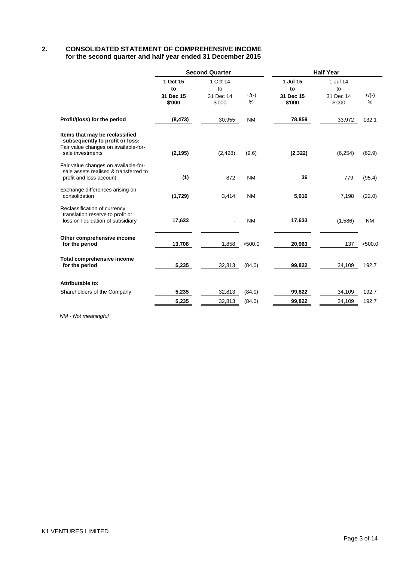## **2. CONSOLIDATED STATEMENT OF COMPREHENSIVE INCOME for the second quarter and half year ended 31 December 2015**

|                                                                                                                               | <b>Second Quarter</b>     |                           |              | <b>Half Year</b>          |                           |               |
|-------------------------------------------------------------------------------------------------------------------------------|---------------------------|---------------------------|--------------|---------------------------|---------------------------|---------------|
|                                                                                                                               | 1 Oct 15                  | 1 Oct 14                  |              | 1 Jul 15                  | 1 Jul 14                  |               |
|                                                                                                                               | to<br>31 Dec 15<br>\$'000 | to<br>31 Dec 14<br>\$'000 | $+/(-)$<br>% | to<br>31 Dec 15<br>\$'000 | to<br>31 Dec 14<br>\$'000 | $+$ /(-)<br>% |
| Profit/(loss) for the period                                                                                                  | (8, 473)                  | 30,955                    | <b>NM</b>    | 78,859                    | 33,972                    | 132.1         |
| Items that may be reclassified<br>subsequently to profit or loss:<br>Fair value changes on available-for-<br>sale investments | (2, 195)                  | (2, 428)                  | (9.6)        | (2,322)                   | (6, 254)                  | (62.9)        |
| Fair value changes on available-for-<br>sale assets realised & transferred to<br>profit and loss account                      | (1)                       | 872                       | <b>NM</b>    | 36                        | 779                       | (95.4)        |
| Exchange differences arising on<br>consolidation                                                                              | (1,729)                   | 3,414                     | <b>NM</b>    | 5,616                     | 7,198                     | (22.0)        |
| Reclassification of currency<br>translation reserve to profit or<br>loss on liquidation of subsidiary                         | 17,633                    |                           | <b>NM</b>    | 17,633                    | (1,586)                   | <b>NM</b>     |
| Other comprehensive income<br>for the period                                                                                  | 13,708                    | 1,858                     | >500.0       | 20,963                    | 137                       | >500.0        |
| <b>Total comprehensive income</b><br>for the period                                                                           | 5,235                     | 32,813                    | (84.0)       | 99,822                    | 34,109                    | 192.7         |
| Attributable to:                                                                                                              |                           |                           |              |                           |                           |               |
| Shareholders of the Company                                                                                                   | 5,235                     | 32,813                    | (84.0)       | 99,822                    | 34,109                    | 192.7         |
|                                                                                                                               | 5,235                     | 32,813                    | (84.0)       | 99,822                    | 34,109                    | 192.7         |
|                                                                                                                               |                           |                           |              |                           |                           |               |

*NM - Not meaningful*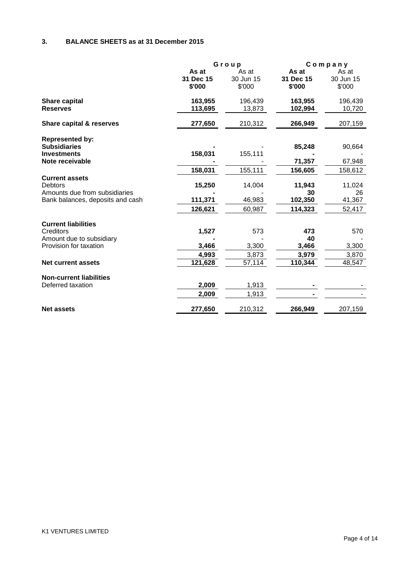# **3. BALANCE SHEETS as at 31 December 2015**

|                                       | Group     |           |           | Company   |  |
|---------------------------------------|-----------|-----------|-----------|-----------|--|
|                                       | As at     | As at     | As at     | As at     |  |
|                                       | 31 Dec 15 | 30 Jun 15 | 31 Dec 15 | 30 Jun 15 |  |
|                                       | \$'000    | \$'000    | \$'000    | \$'000    |  |
| <b>Share capital</b>                  | 163,955   | 196,439   | 163,955   | 196,439   |  |
| <b>Reserves</b>                       | 113,695   | 13,873    | 102,994   | 10,720    |  |
| <b>Share capital &amp; reserves</b>   | 277,650   | 210,312   | 266,949   | 207,159   |  |
| <b>Represented by:</b>                |           |           |           |           |  |
| <b>Subsidiaries</b>                   |           |           | 85,248    | 90,664    |  |
| <b>Investments</b><br>Note receivable | 158,031   | 155,111   | 71,357    | 67,948    |  |
|                                       | 158,031   | 155,111   | 156,605   | 158,612   |  |
| <b>Current assets</b>                 |           |           |           |           |  |
| <b>Debtors</b>                        | 15,250    | 14,004    | 11,943    | 11,024    |  |
| Amounts due from subsidiaries         |           |           | 30        | 26        |  |
| Bank balances, deposits and cash      | 111,371   | 46,983    | 102,350   | 41,367    |  |
|                                       | 126,621   | 60,987    | 114,323   | 52,417    |  |
| <b>Current liabilities</b>            |           |           |           |           |  |
| Creditors                             | 1,527     | 573       | 473       | 570       |  |
| Amount due to subsidiary              |           |           | 40        |           |  |
| Provision for taxation                | 3,466     | 3,300     | 3,466     | 3,300     |  |
|                                       | 4,993     | 3,873     | 3,979     | 3,870     |  |
| <b>Net current assets</b>             | 121,628   | 57,114    | 110,344   | 48,547    |  |
| <b>Non-current liabilities</b>        |           |           |           |           |  |
| Deferred taxation                     | 2,009     | 1,913     |           |           |  |
|                                       | 2,009     | 1,913     |           |           |  |
| <b>Net assets</b>                     | 277,650   | 210,312   | 266,949   | 207,159   |  |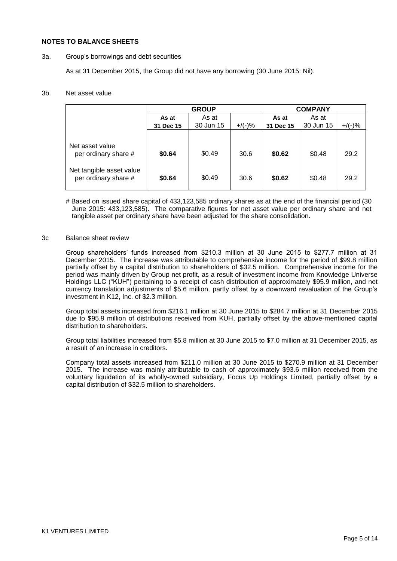### **NOTES TO BALANCE SHEETS**

### 3a. Group"s borrowings and debt securities

As at 31 December 2015, the Group did not have any borrowing (30 June 2015: Nil).

### 3b. Net asset value

|                                                  | <b>GROUP</b> |           |           | <b>COMPANY</b> |           |           |
|--------------------------------------------------|--------------|-----------|-----------|----------------|-----------|-----------|
|                                                  | As at        | As at     |           | As at          | As at     |           |
|                                                  | 31 Dec 15    | 30 Jun 15 | $+/(-)$ % | 31 Dec 15      | 30 Jun 15 | $+$ /(-)% |
|                                                  |              |           |           |                |           |           |
| Net asset value<br>per ordinary share #          | \$0.64       | \$0.49    | 30.6      | \$0.62         | \$0.48    | 29.2      |
| Net tangible asset value<br>per ordinary share # | \$0.64       | \$0.49    | 30.6      | \$0.62         | \$0.48    | 29.2      |

# Based on issued share capital of 433,123,585 ordinary shares as at the end of the financial period (30 June 2015: 433,123,585). The comparative figures for net asset value per ordinary share and net tangible asset per ordinary share have been adjusted for the share consolidation.

### 3c Balance sheet review

Group shareholders" funds increased from \$210.3 million at 30 June 2015 to \$277.7 million at 31 December 2015. The increase was attributable to comprehensive income for the period of \$99.8 million partially offset by a capital distribution to shareholders of \$32.5 million. Comprehensive income for the period was mainly driven by Group net profit, as a result of investment income from Knowledge Universe Holdings LLC ("KUH") pertaining to a receipt of cash distribution of approximately \$95.9 million, and net currency translation adjustments of \$5.6 million, partly offset by a downward revaluation of the Group"s investment in K12, Inc. of \$2.3 million.

Group total assets increased from \$216.1 million at 30 June 2015 to \$284.7 million at 31 December 2015 due to \$95.9 million of distributions received from KUH, partially offset by the above-mentioned capital distribution to shareholders.

Group total liabilities increased from \$5.8 million at 30 June 2015 to \$7.0 million at 31 December 2015, as a result of an increase in creditors.

Company total assets increased from \$211.0 million at 30 June 2015 to \$270.9 million at 31 December 2015. The increase was mainly attributable to cash of approximately \$93.6 million received from the voluntary liquidation of its wholly-owned subsidiary, Focus Up Holdings Limited, partially offset by a capital distribution of \$32.5 million to shareholders.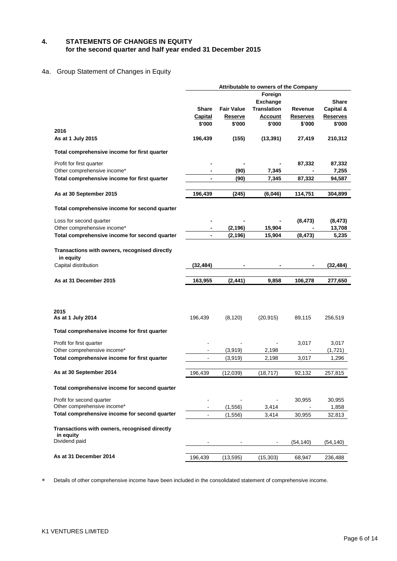### **4. STATEMENTS OF CHANGES IN EQUITY for the second quarter and half year ended 31 December 2015**

## 4a. Group Statement of Changes in Equity

|                                                                              | Attributable to owners of the Company |                   |                    |                 |                 |  |
|------------------------------------------------------------------------------|---------------------------------------|-------------------|--------------------|-----------------|-----------------|--|
|                                                                              |                                       |                   | Foreign            |                 |                 |  |
|                                                                              |                                       |                   | <b>Exchange</b>    |                 | <b>Share</b>    |  |
|                                                                              | <b>Share</b>                          | <b>Fair Value</b> | <b>Translation</b> | Revenue         | Capital &       |  |
|                                                                              | Capital                               | <b>Reserve</b>    | <b>Account</b>     | <b>Reserves</b> | <b>Reserves</b> |  |
|                                                                              | \$'000                                | \$'000            | \$'000             | \$'000          | \$'000          |  |
| 2016                                                                         |                                       |                   |                    |                 |                 |  |
| As at 1 July 2015                                                            | 196,439                               | (155)             | (13, 391)          | 27,419          | 210,312         |  |
| Total comprehensive income for first quarter                                 |                                       |                   |                    |                 |                 |  |
| Profit for first quarter                                                     |                                       |                   |                    | 87,332          | 87,332          |  |
| Other comprehensive income*                                                  |                                       | (90)              | 7,345              |                 | 7,255           |  |
| Total comprehensive income for first quarter                                 |                                       | (90)              | 7,345              | 87,332          | 94,587          |  |
|                                                                              |                                       |                   |                    |                 |                 |  |
| As at 30 September 2015                                                      | 196,439                               | (245)             | (6,046)            | 114,751         | 304,899         |  |
| Total comprehensive income for second quarter                                |                                       |                   |                    |                 |                 |  |
| Loss for second quarter                                                      |                                       |                   |                    | (8, 473)        | (8, 473)        |  |
| Other comprehensive income*                                                  |                                       | (2, 196)          | 15,904             |                 | 13,708          |  |
| Total comprehensive income for second quarter                                |                                       | (2, 196)          | 15,904             | (8, 473)        | 5,235           |  |
| Transactions with owners, recognised directly<br>in equity                   |                                       |                   |                    |                 |                 |  |
| Capital distribution                                                         | (32, 484)                             |                   |                    |                 | (32,484)        |  |
|                                                                              |                                       |                   |                    |                 |                 |  |
| As at 31 December 2015                                                       | 163,955                               | (2, 441)          | 9,858              | 106,278         | 277,650         |  |
| 2015                                                                         |                                       |                   |                    |                 |                 |  |
| As at 1 July 2014                                                            | 196,439                               | (8, 120)          | (20, 915)          | 89,115          | 256,519         |  |
| Total comprehensive income for first quarter                                 |                                       |                   |                    |                 |                 |  |
| Profit for first quarter                                                     |                                       |                   |                    | 3,017           | 3,017           |  |
| Other comprehensive income*                                                  |                                       | (3,919)           | 2,198              |                 | (1,721)         |  |
| Total comprehensive income for first quarter                                 |                                       | (3,919)           | 2,198              | 3,017           | 1,296           |  |
| As at 30 September 2014                                                      | 196,439                               | (12,039)          | (18, 717)          | 92,132          | 257,815         |  |
| Total comprehensive income for second quarter                                |                                       |                   |                    |                 |                 |  |
| Profit for second quarter                                                    | $\blacksquare$                        |                   |                    | 30,955          | 30,955          |  |
| Other comprehensive income*<br>Total comprehensive income for second quarter |                                       | (1,556)           | 3,414<br>3,414     |                 | 1,858           |  |
| Transactions with owners, recognised directly<br>in equity                   |                                       | (1, 556)          |                    | 30,955          | 32,813          |  |
| Dividend paid                                                                |                                       |                   |                    | (54,140)        | (54,140)        |  |

Details of other comprehensive income have been included in the consolidated statement of comprehensive income.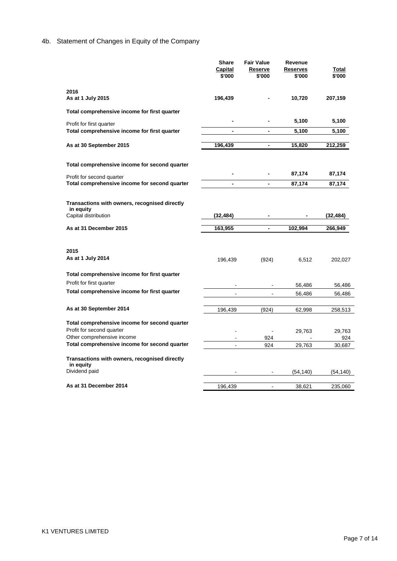# 4b. Statement of Changes in Equity of the Company

|                                               | Share                    | <b>Fair Value</b>        | Revenue         |           |
|-----------------------------------------------|--------------------------|--------------------------|-----------------|-----------|
|                                               | Capital                  | Reserve                  | <b>Reserves</b> | Total     |
|                                               | \$'000                   | \$'000                   | \$'000          | \$'000    |
| 2016                                          |                          |                          |                 |           |
| As at 1 July 2015                             | 196,439                  |                          | 10,720          | 207,159   |
|                                               |                          |                          |                 |           |
| Total comprehensive income for first quarter  |                          |                          |                 |           |
| Profit for first quarter                      |                          |                          | 5,100           | 5,100     |
| Total comprehensive income for first quarter  | $\blacksquare$           | $\overline{\phantom{a}}$ | 5,100           | 5,100     |
|                                               |                          |                          |                 |           |
| As at 30 September 2015                       | 196,439                  | $\overline{\phantom{a}}$ | 15,820          | 212,259   |
|                                               |                          |                          |                 |           |
| Total comprehensive income for second quarter |                          |                          |                 |           |
| Profit for second quarter                     |                          |                          | 87,174          | 87,174    |
| Total comprehensive income for second quarter | $\overline{\phantom{0}}$ | $\blacksquare$           | 87,174          | 87,174    |
|                                               |                          |                          |                 |           |
| Transactions with owners, recognised directly |                          |                          |                 |           |
| in equity                                     |                          |                          |                 |           |
| Capital distribution                          | (32, 484)                |                          |                 | (32, 484) |
| As at 31 December 2015                        | 163,955                  | $\overline{\phantom{a}}$ | 102,994         | 266,949   |
|                                               |                          |                          |                 |           |
|                                               |                          |                          |                 |           |
| 2015                                          |                          |                          |                 |           |
| As at 1 July 2014                             | 196,439                  | (924)                    | 6,512           | 202,027   |
| Total comprehensive income for first quarter  |                          |                          |                 |           |
| Profit for first quarter                      |                          |                          |                 |           |
| Total comprehensive income for first quarter  |                          |                          | 56,486          | 56,486    |
|                                               |                          |                          | 56,486          | 56,486    |
| As at 30 September 2014                       | 196,439                  | (924)                    | 62,998          | 258,513   |
|                                               |                          |                          |                 |           |
|                                               |                          |                          |                 |           |
| Total comprehensive income for second quarter |                          |                          |                 |           |
| Profit for second quarter                     |                          |                          | 29,763          | 29,763    |
| Other comprehensive income                    |                          | 924                      |                 | 924       |
| Total comprehensive income for second quarter |                          | 924                      | 29,763          | 30,687    |
| Transactions with owners, recognised directly |                          |                          |                 |           |
| in equity                                     |                          |                          |                 |           |
| Dividend paid                                 |                          |                          | (54, 140)       | (54, 140) |
| As at 31 December 2014                        | 196,439                  |                          | 38,621          | 235,060   |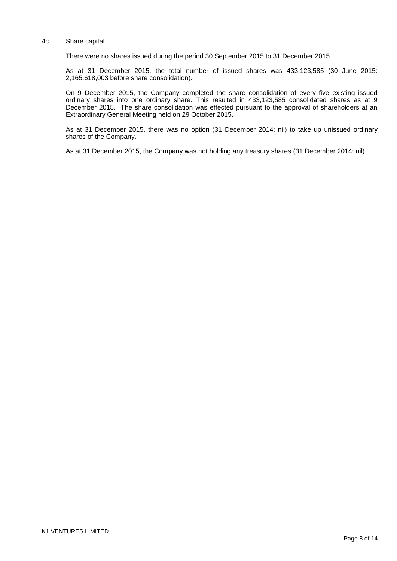#### 4c. Share capital

There were no shares issued during the period 30 September 2015 to 31 December 2015.

As at 31 December 2015, the total number of issued shares was 433,123,585 (30 June 2015: 2,165,618,003 before share consolidation).

On 9 December 2015, the Company completed the share consolidation of every five existing issued ordinary shares into one ordinary share. This resulted in 433,123,585 consolidated shares as at 9 December 2015. The share consolidation was effected pursuant to the approval of shareholders at an Extraordinary General Meeting held on 29 October 2015.

As at 31 December 2015, there was no option (31 December 2014: nil) to take up unissued ordinary shares of the Company.

As at 31 December 2015, the Company was not holding any treasury shares (31 December 2014: nil).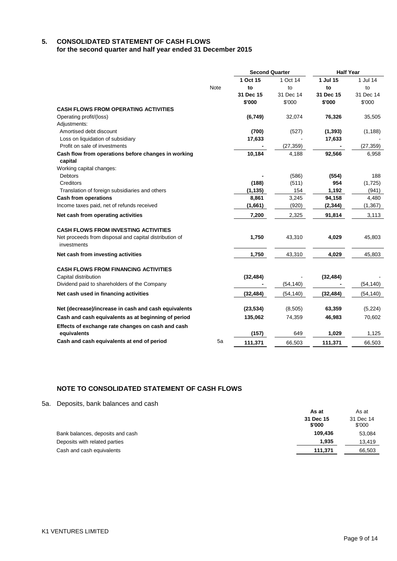### **5. CONSOLIDATED STATEMENT OF CASH FLOWS for the second quarter and half year ended 31 December 2015**

|                                                                       |      | <b>Second Quarter</b> |           | <b>Half Year</b> |           |
|-----------------------------------------------------------------------|------|-----------------------|-----------|------------------|-----------|
|                                                                       |      | 1 Oct 15              | 1 Oct 14  | 1 Jul 15         | 1 Jul 14  |
|                                                                       | Note | to                    | to        | to               | to        |
|                                                                       |      | 31 Dec 15             | 31 Dec 14 | 31 Dec 15        | 31 Dec 14 |
|                                                                       |      | \$'000                | \$'000    | \$'000           | \$'000    |
| CASH FLOWS FROM OPERATING ACTIVITIES                                  |      |                       |           |                  |           |
| Operating profit/(loss)                                               |      | (6,749)               | 32,074    | 76,326           | 35,505    |
| Adjustments:                                                          |      |                       |           |                  |           |
| Amortised debt discount                                               |      | (700)                 | (527)     | (1, 393)         | (1, 188)  |
| Loss on liquidation of subsidiary                                     |      | 17,633                |           | 17,633           |           |
| Profit on sale of investments                                         |      |                       | (27, 359) |                  | (27, 359) |
| Cash flow from operations before changes in working                   |      | 10,184                | 4,188     | 92,566           | 6,958     |
| capital                                                               |      |                       |           |                  |           |
| Working capital changes:                                              |      |                       |           |                  |           |
| <b>Debtors</b>                                                        |      |                       | (586)     | (554)            | 188       |
| Creditors                                                             |      | (188)                 | (511)     | 954              | (1,725)   |
| Translation of foreign subsidiaries and others                        |      | (1, 135)              | 154       | 1,192            | (941)     |
| <b>Cash from operations</b>                                           |      | 8,861                 | 3,245     | 94,158           | 4,480     |
| Income taxes paid, net of refunds received                            |      | (1,661)               | (920)     | (2, 344)         | (1, 367)  |
| Net cash from operating activities                                    |      | 7,200                 | 2,325     | 91,814           | 3,113     |
| <b>CASH FLOWS FROM INVESTING ACTIVITIES</b>                           |      |                       |           |                  |           |
| Net proceeds from disposal and capital distribution of<br>investments |      | 1,750                 | 43,310    | 4,029            | 45,803    |
| Net cash from investing activities                                    |      | 1,750                 | 43,310    | 4,029            | 45,803    |
| <b>CASH FLOWS FROM FINANCING ACTIVITIES</b>                           |      |                       |           |                  |           |
| Capital distribution                                                  |      | (32, 484)             |           | (32, 484)        |           |
| Dividend paid to shareholders of the Company                          |      |                       | (54, 140) |                  | (54, 140) |
| Net cash used in financing activities                                 |      | (32, 484)             | (54, 140) | (32, 484)        | (54, 140) |
| Net (decrease)/increase in cash and cash equivalents                  |      | (23, 534)             | (8, 505)  | 63,359           | (5, 224)  |
| Cash and cash equivalents as at beginning of period                   |      | 135,062               | 74,359    | 46,983           | 70,602    |
|                                                                       |      |                       |           |                  |           |
| Effects of exchange rate changes on cash and cash<br>equivalents      |      | (157)                 | 649       | 1,029            | 1,125     |
| Cash and cash equivalents at end of period                            | 5a   | 111,371               | 66,503    | 111,371          | 66,503    |

## **NOTE TO CONSOLIDATED STATEMENT OF CASH FLOWS**

5a. Deposits, bank balances and cash

|                                  | As at               | As at               |
|----------------------------------|---------------------|---------------------|
|                                  | 31 Dec 15<br>\$'000 | 31 Dec 14<br>\$'000 |
| Bank balances, deposits and cash | 109.436             | 53,084              |
| Deposits with related parties    | 1.935               | 13,419              |
| Cash and cash equivalents        | 111,371             | 66,503              |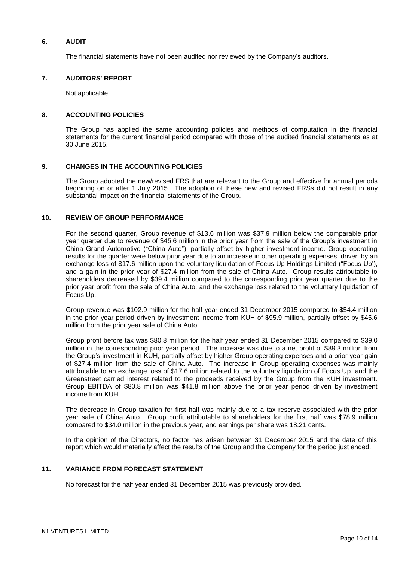### **6. AUDIT**

The financial statements have not been audited nor reviewed by the Company"s auditors.

### **7. AUDITORS' REPORT**

Not applicable

### **8. ACCOUNTING POLICIES**

The Group has applied the same accounting policies and methods of computation in the financial statements for the current financial period compared with those of the audited financial statements as at 30 June 2015.

### **9. CHANGES IN THE ACCOUNTING POLICIES**

The Group adopted the new/revised FRS that are relevant to the Group and effective for annual periods beginning on or after 1 July 2015. The adoption of these new and revised FRSs did not result in any substantial impact on the financial statements of the Group.

### **10. REVIEW OF GROUP PERFORMANCE**

For the second quarter, Group revenue of \$13.6 million was \$37.9 million below the comparable prior year quarter due to revenue of \$45.6 million in the prior year from the sale of the Group"s investment in China Grand Automotive ("China Auto"), partially offset by higher investment income. Group operating results for the quarter were below prior year due to an increase in other operating expenses, driven by an exchange loss of \$17.6 million upon the voluntary liquidation of Focus Up Holdings Limited ("Focus Up"), and a gain in the prior year of \$27.4 million from the sale of China Auto. Group results attributable to shareholders decreased by \$39.4 million compared to the corresponding prior year quarter due to the prior year profit from the sale of China Auto, and the exchange loss related to the voluntary liquidation of Focus Up.

Group revenue was \$102.9 million for the half year ended 31 December 2015 compared to \$54.4 million in the prior year period driven by investment income from KUH of \$95.9 million, partially offset by \$45.6 million from the prior year sale of China Auto.

Group profit before tax was \$80.8 million for the half year ended 31 December 2015 compared to \$39.0 million in the corresponding prior year period. The increase was due to a net profit of \$89.3 million from the Group's investment in KUH, partially offset by higher Group operating expenses and a prior year gain of \$27.4 million from the sale of China Auto. The increase in Group operating expenses was mainly attributable to an exchange loss of \$17.6 million related to the voluntary liquidation of Focus Up, and the Greenstreet carried interest related to the proceeds received by the Group from the KUH investment. Group EBITDA of \$80.8 million was \$41.8 million above the prior year period driven by investment income from KUH.

The decrease in Group taxation for first half was mainly due to a tax reserve associated with the prior year sale of China Auto. Group profit attributable to shareholders for the first half was \$78.9 million compared to \$34.0 million in the previous year, and earnings per share was 18.21 cents.

In the opinion of the Directors, no factor has arisen between 31 December 2015 and the date of this report which would materially affect the results of the Group and the Company for the period just ended.

### **11. VARIANCE FROM FORECAST STATEMENT**

No forecast for the half year ended 31 December 2015 was previously provided.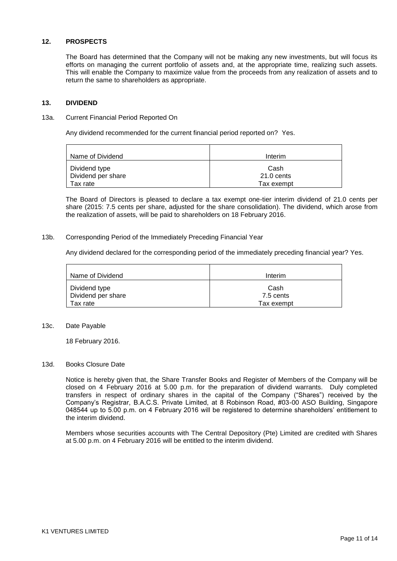### **12. PROSPECTS**

The Board has determined that the Company will not be making any new investments, but will focus its efforts on managing the current portfolio of assets and, at the appropriate time, realizing such assets. This will enable the Company to maximize value from the proceeds from any realization of assets and to return the same to shareholders as appropriate.

### **13. DIVIDEND**

#### 13a. Current Financial Period Reported On

Any dividend recommended for the current financial period reported on? Yes.

| l Name of Dividend                  | Interim            |
|-------------------------------------|--------------------|
| Dividend type<br>Dividend per share | Cash<br>21.0 cents |
| Tax rate                            | Tax exempt         |

The Board of Directors is pleased to declare a tax exempt one-tier interim dividend of 21.0 cents per share (2015: 7.5 cents per share, adjusted for the share consolidation). The dividend, which arose from the realization of assets, will be paid to shareholders on 18 February 2016.

### 13b. Corresponding Period of the Immediately Preceding Financial Year

Any dividend declared for the corresponding period of the immediately preceding financial year? Yes.

| Name of Dividend   | Interim    |
|--------------------|------------|
| Dividend type      | Cash       |
| Dividend per share | 7.5 cents  |
| Tax rate           | Tax exempt |

### 13c. Date Payable

18 February 2016.

### 13d. Books Closure Date

Notice is hereby given that, the Share Transfer Books and Register of Members of the Company will be closed on 4 February 2016 at 5.00 p.m. for the preparation of dividend warrants. Duly completed transfers in respect of ordinary shares in the capital of the Company ("Shares") received by the Company"s Registrar, B.A.C.S. Private Limited, at 8 Robinson Road, #03-00 ASO Building, Singapore 048544 up to 5.00 p.m. on 4 February 2016 will be registered to determine shareholders" entitlement to the interim dividend.

Members whose securities accounts with The Central Depository (Pte) Limited are credited with Shares at 5.00 p.m. on 4 February 2016 will be entitled to the interim dividend.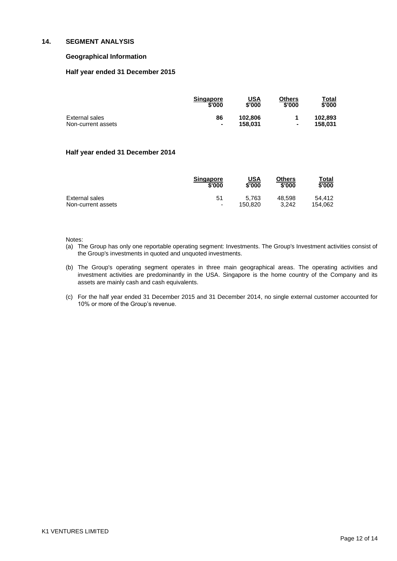#### **14. SEGMENT ANALYSIS**

### **Geographical Information**

### **Half year ended 31 December 2015**

|                    | <b>Singapore</b><br>\$'000 | USA<br>\$'000 | Others<br>\$'000 | Total<br>\$'000 |
|--------------------|----------------------------|---------------|------------------|-----------------|
| External sales     | 86                         | 102.806       |                  | 102.893         |
| Non-current assets | ۰                          | 158.031       | ۰                | 158.031         |

#### **Half year ended 31 December 2014**

|                    | <b>Singapore</b>         | <u>USA</u> | <b>Others</b> | Total   |
|--------------------|--------------------------|------------|---------------|---------|
|                    | \$'000                   | \$'000     | \$'000        | \$'000  |
| External sales     | 51                       | 5.763      | 48.598        | 54.412  |
| Non-current assets | $\overline{\phantom{a}}$ | 150.820    | 3.242         | 154.062 |

Notes:

- (a) The Group has only one reportable operating segment: Investments. The Group's Investment activities consist of the Group's investments in quoted and unquoted investments.
- (b) The Group's operating segment operates in three main geographical areas. The operating activities and investment activities are predominantly in the USA. Singapore is the home country of the Company and its assets are mainly cash and cash equivalents.
- (c) For the half year ended 31 December 2015 and 31 December 2014, no single external customer accounted for 10% or more of the Group's revenue.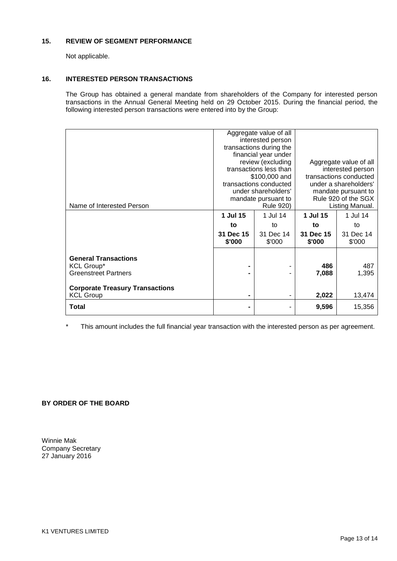## **15. REVIEW OF SEGMENT PERFORMANCE**

Not applicable.

### **16. INTERESTED PERSON TRANSACTIONS**

The Group has obtained a general mandate from shareholders of the Company for interested person transactions in the Annual General Meeting held on 29 October 2015. During the financial period, the following interested person transactions were entered into by the Group:

|                                                                                                                           | Aggregate value of all<br>interested person<br>transactions during the<br>financial year under<br>review (excluding<br>transactions less than<br>\$100,000 and<br>transactions conducted<br>under shareholders'<br>mandate pursuant to |                              | Aggregate value of all<br>interested person<br>transactions conducted<br>under a shareholders'<br>mandate pursuant to<br>Rule 920 of the SGX |                             |
|---------------------------------------------------------------------------------------------------------------------------|----------------------------------------------------------------------------------------------------------------------------------------------------------------------------------------------------------------------------------------|------------------------------|----------------------------------------------------------------------------------------------------------------------------------------------|-----------------------------|
| Name of Interested Person                                                                                                 | 1 Jul 15                                                                                                                                                                                                                               | <b>Rule 920)</b><br>1 Jul 14 | 1 Jul 15                                                                                                                                     | Listing Manual.<br>1 Jul 14 |
|                                                                                                                           | to                                                                                                                                                                                                                                     | to                           | to                                                                                                                                           | to                          |
|                                                                                                                           | 31 Dec 15<br>\$'000                                                                                                                                                                                                                    | 31 Dec 14<br>\$'000          | 31 Dec 15<br>\$'000                                                                                                                          | 31 Dec 14<br>\$'000         |
| <b>General Transactions</b><br><b>KCL Group*</b><br><b>Greenstreet Partners</b><br><b>Corporate Treasury Transactions</b> | $\blacksquare$<br>۰                                                                                                                                                                                                                    | ۰                            | 486<br>7,088                                                                                                                                 | 487<br>1,395                |
| <b>KCL Group</b>                                                                                                          | ۰                                                                                                                                                                                                                                      | ۰                            | 2,022                                                                                                                                        | 13,474                      |
| Total                                                                                                                     | ۰                                                                                                                                                                                                                                      |                              | 9,596                                                                                                                                        | 15,356                      |

\* This amount includes the full financial year transaction with the interested person as per agreement.

### **BY ORDER OF THE BOARD**

Winnie Mak Company Secretary 27 January 2016